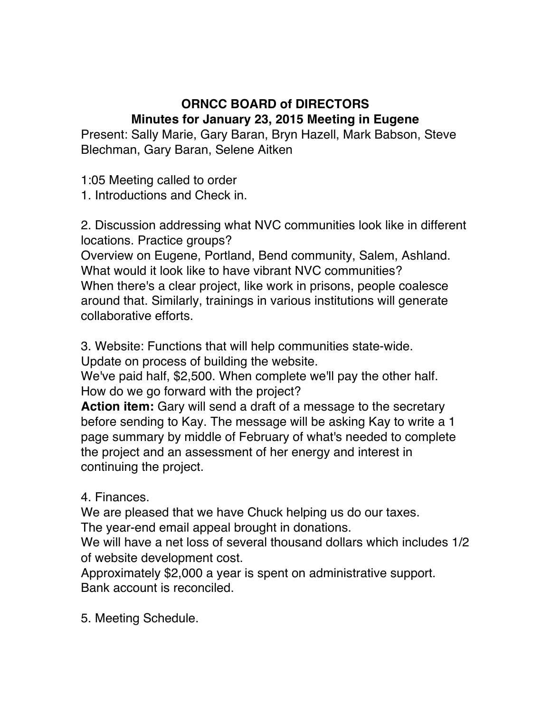## **ORNCC BOARD of DIRECTORS Minutes for January 23, 2015 Meeting in Eugene**

Present: Sally Marie, Gary Baran, Bryn Hazell, Mark Babson, Steve Blechman, Gary Baran, Selene Aitken

1:05 Meeting called to order

1. Introductions and Check in.

2. Discussion addressing what NVC communities look like in different locations. Practice groups?

Overview on Eugene, Portland, Bend community, Salem, Ashland. What would it look like to have vibrant NVC communities? When there's a clear project, like work in prisons, people coalesce around that. Similarly, trainings in various institutions will generate collaborative efforts.

3. Website: Functions that will help communities state-wide. Update on process of building the website.

We've paid half, \$2,500. When complete we'll pay the other half. How do we go forward with the project?

**Action item:** Gary will send a draft of a message to the secretary before sending to Kay. The message will be asking Kay to write a 1 page summary by middle of February of what's needed to complete the project and an assessment of her energy and interest in continuing the project.

4. Finances.

We are pleased that we have Chuck helping us do our taxes.

The year-end email appeal brought in donations.

We will have a net loss of several thousand dollars which includes 1/2 of website development cost.

Approximately \$2,000 a year is spent on administrative support. Bank account is reconciled.

5. Meeting Schedule.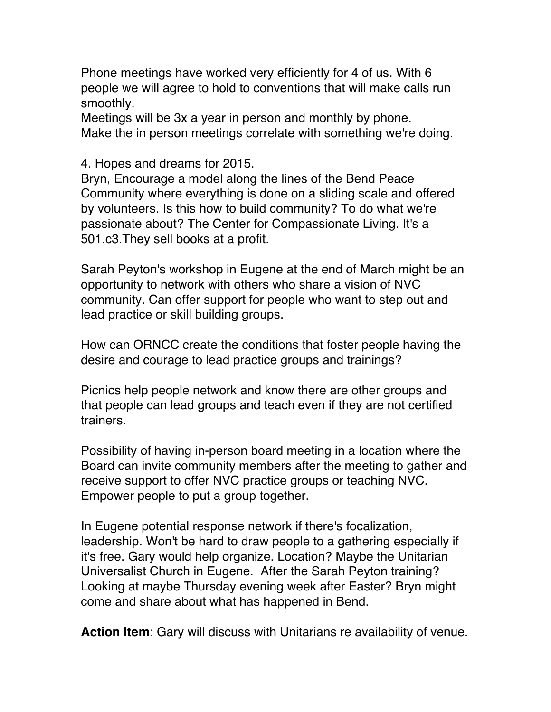Phone meetings have worked very efficiently for 4 of us. With 6 people we will agree to hold to conventions that will make calls run smoothly.

Meetings will be 3x a year in person and monthly by phone. Make the in person meetings correlate with something we're doing.

4. Hopes and dreams for 2015.

Bryn, Encourage a model along the lines of the Bend Peace Community where everything is done on a sliding scale and offered by volunteers. Is this how to build community? To do what we're passionate about? The Center for Compassionate Living. It's a 501.c3.They sell books at a profit.

Sarah Peyton's workshop in Eugene at the end of March might be an opportunity to network with others who share a vision of NVC community. Can offer support for people who want to step out and lead practice or skill building groups.

How can ORNCC create the conditions that foster people having the desire and courage to lead practice groups and trainings?

Picnics help people network and know there are other groups and that people can lead groups and teach even if they are not certified trainers.

Possibility of having in-person board meeting in a location where the Board can invite community members after the meeting to gather and receive support to offer NVC practice groups or teaching NVC. Empower people to put a group together.

In Eugene potential response network if there's focalization, leadership. Won't be hard to draw people to a gathering especially if it's free. Gary would help organize. Location? Maybe the Unitarian Universalist Church in Eugene. After the Sarah Peyton training? Looking at maybe Thursday evening week after Easter? Bryn might come and share about what has happened in Bend.

**Action Item**: Gary will discuss with Unitarians re availability of venue.